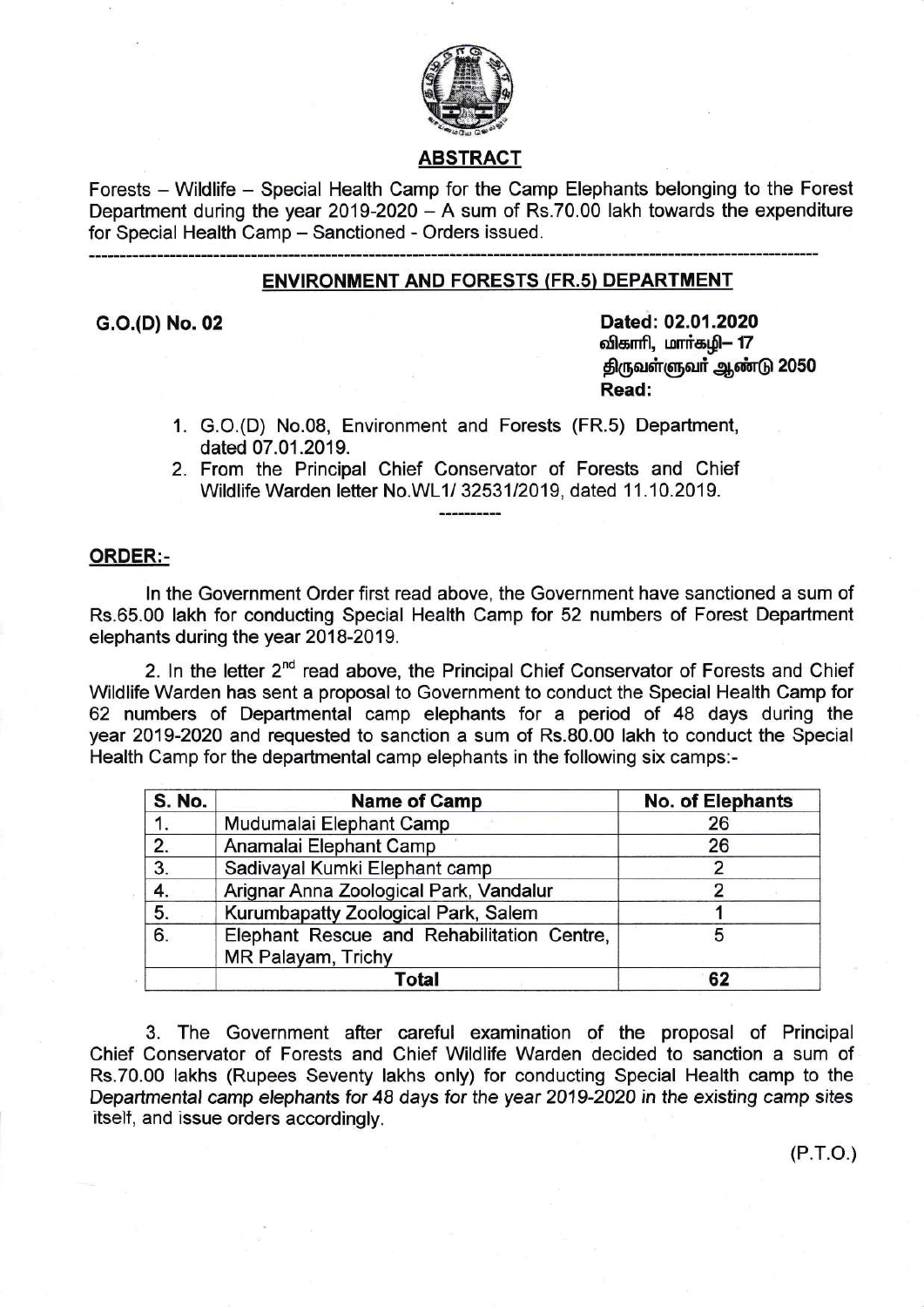

# ABSTRACT

Forests - Wildlife - Special Health Camp for the Camp Elephants belonging to the Forest Department during the year 2019-2020  $-$  A sum of Rs.70.00 lakh towards the expenditure for Special Health Camp - Sanctioned - Orders issued.

# ENVIRONMENT AND FORESTS (FR.s) DEPARTMENT

G.O.(D) No. 02 Dated: 02.01.2020 விகாரி, மார்கழி– 17 திருவள்ளுவர் ஆண்டு 2050 Read:

- 1. G.O.(D) No.08, Environment and Forests (FR.s) Department, dated 07 .01.2019.
- 2. From the Principal Chief Conservator of Forests and Chief Wildlife Warden letter No.WL1/ 3253112019, dated 11.10.2019.

## ORDER:-

ln the Government Order first read above, the Government have sanctioned a sum of Rs.65.00 lakh for conducting Special Health Camp for 52 numbers of Forest Department elephants during the year 2018-2019.

2. In the letter 2<sup>nd</sup> read above, the Principal Chief Conservator of Forests and Chief Wildlife Warden has sent a proposal to Government to conduct the Special Health Camp for 62 numbers of Departmental camp elephants for a period of 48 days during the year 2019-2020 and requested to sanction a sum of Rs.80.00 lakh to conduct the Special Health Camp for the departmental camp elephants in the following six camps:-

| <b>S. No.</b> | <b>Name of Camp</b>                                              | No. of Elephants |
|---------------|------------------------------------------------------------------|------------------|
| 1.            | Mudumalai Elephant Camp                                          | 26               |
| 2.            | Anamalai Elephant Camp                                           | 26               |
| 3.            | Sadivayal Kumki Elephant camp                                    |                  |
| 4.            | Arignar Anna Zoological Park, Vandalur                           |                  |
| 5.            | Kurumbapatty Zoological Park, Salem                              |                  |
| 6.            | Elephant Rescue and Rehabilitation Centre,<br>MR Palayam, Trichy | 5                |
|               | Total                                                            | 62               |

3. The Government after careful examination of the proposal of Principal Chief Conservator of Forests and Chief Wildlife Warden decided to sanction a sum of Rs.70.00 lakhs (Rupees Seventy lakhs only) for conducting Special Health camp to the Departmental camp elephants for 48 days for the year 2019-2020 in the existing camp sites itself, and issue orders accordingly.

(P.r.o.)